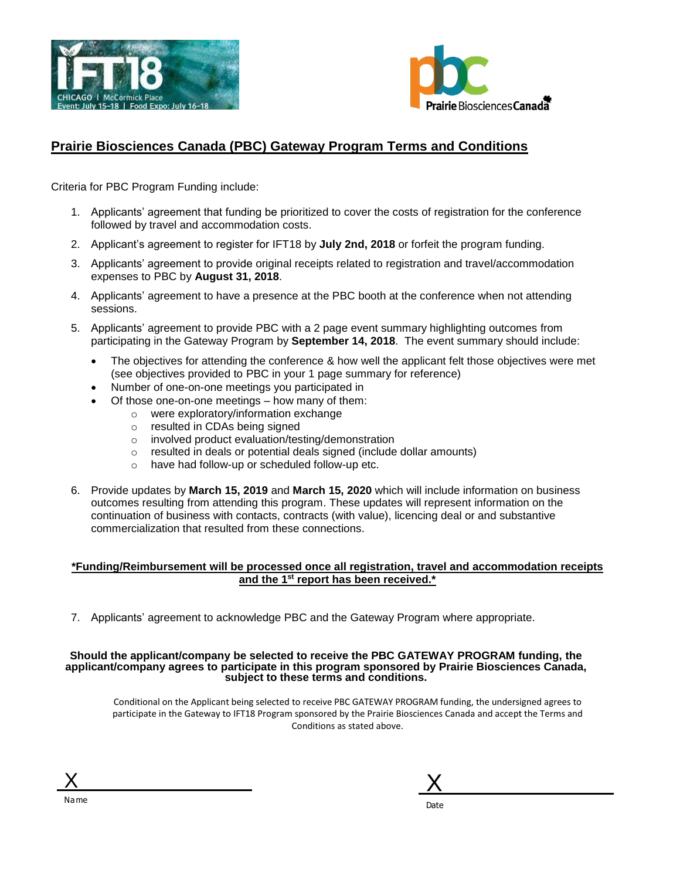



## **Prairie Biosciences Canada (PBC) Gateway Program Terms and Conditions**

Criteria for PBC Program Funding include:

- 1. Applicants' agreement that funding be prioritized to cover the costs of registration for the conference followed by travel and accommodation costs.
- 2. Applicant's agreement to register for IFT18 by **July 2nd, 2018** or forfeit the program funding.
- 3. Applicants' agreement to provide original receipts related to registration and travel/accommodation expenses to PBC by **August 31, 2018**.
- 4. Applicants' agreement to have a presence at the PBC booth at the conference when not attending sessions.
- 5. Applicants' agreement to provide PBC with a 2 page event summary highlighting outcomes from participating in the Gateway Program by **September 14, 2018**. The event summary should include:
	- The objectives for attending the conference & how well the applicant felt those objectives were met (see objectives provided to PBC in your 1 page summary for reference)
	- Number of one-on-one meetings you participated in
		- Of those one-on-one meetings how many of them:
			- o were exploratory/information exchange
			- o resulted in CDAs being signed
			- o involved product evaluation/testing/demonstration
			- o resulted in deals or potential deals signed (include dollar amounts)
			- o have had follow-up or scheduled follow-up etc.
- 6. Provide updates by **March 15, 2019** and **March 15, 2020** which will include information on business outcomes resulting from attending this program. These updates will represent information on the continuation of business with contacts, contracts (with value), licencing deal or and substantive commercialization that resulted from these connections.

### **\*Funding/Reimbursement will be processed once all registration, travel and accommodation receipts and the 1 st report has been received.\***

7. Applicants' agreement to acknowledge PBC and the Gateway Program where appropriate.

#### **Should the applicant/company be selected to receive the PBC GATEWAY PROGRAM funding, the applicant/company agrees to participate in this program sponsored by Prairie Biosciences Canada, subject to these terms and conditions.**

Conditional on the Applicant being selected to receive PBC GATEWAY PROGRAM funding, the undersigned agrees to participate in the Gateway to IFT18 Program sponsored by the Prairie Biosciences Canada and accept the Terms and Conditions as stated above.

| √a me |
|-------|